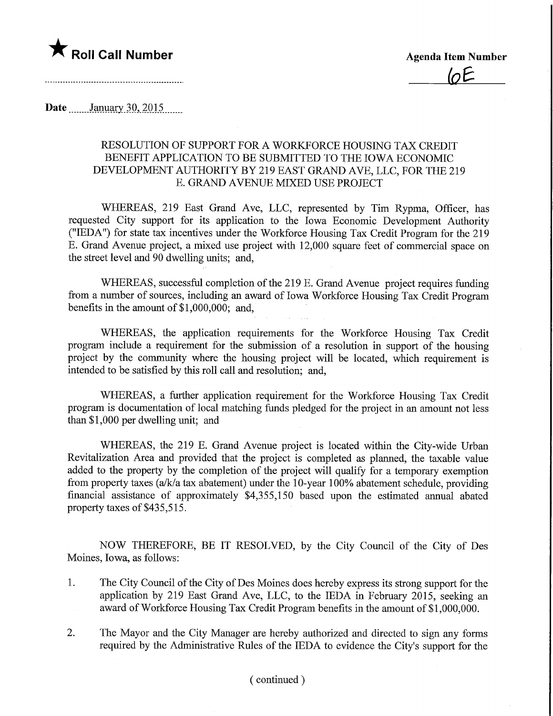

## Date ........January 30, 2015.......

## RESOLUTION OF SUPPORT FOR A WORKFORCE HOUSING TAX CREDIT BENEFIT APPLICATION TO BE SUBMITTED TO THE IOWA ECONOMIC DEVELOPMENT AUTHORITY BY 219 EAST GRAND AVE, LLC, FOR THE 219 E. GRAND AVENUE MIXED USE PROJECT

WHEREAS, 219 East Grand Ave, LLC, represented by Tim Rypma, Officer, has requested City support for its application to the Iowa Economic Development Authority ("IEDA") for state tax incentives under the Workforce Housing Tax Credit Program for the 219 E. Grand Avenue project, a mixed use project with 12,000 square feet of commercial space on the street level and 90 dwelling units; and,

WHEREAS, successful completion of the 219 E. Grand Avenue project requires funding from a number of sources, including an award of Iowa Workforce Housing Tax Credit Program benefits in the amount of \$1,000,000; and,

WHEREAS, the application requirements for the Workforce Housing Tax Credit program include a requirement for the submission of a resolution in support of the housing project by the community where the housing project will be located, which requirement is intended to be satisfied by this roll call and resolution; and,

WHEREAS, a further application requirement for the Workforce Housing Tax Credit program is documentation of local matching funds pledged for the project in an amount not less than \$1,000 per dwelling unit; and

WHEREAS, the 219 E. Grand Avenue project is located within the City-wide Urban Revitalization Area and provided that the project is completed as planned, the taxable value added to the property by the completion of the project will qualify for a temporary exemption from property taxes (a/k/a tax abatement) under the 10-year 100% abatement schedule, providing financial assistance of approximately \$4,355,150 based upon the estimated annual abated property taxes of \$435,515.

NOW THEREFORE, BE IT RESOLVED, by the City Council of the City of Des Moines, Iowa, as follows:

- 1. The City Council of the City of Des Moines does hereby express its strong support for the application by 219 East Grand Ave, LLC, to the IEDA in February 2015, seeking an award of Workforce Housing Tax Credit Program benefits in the amount of \$1,000,000.
- 2. The Mayor and the City Manager are hereby authorized and directed to sign any forms required by the Administrative Rules of the IEDA to evidence the City's support for the